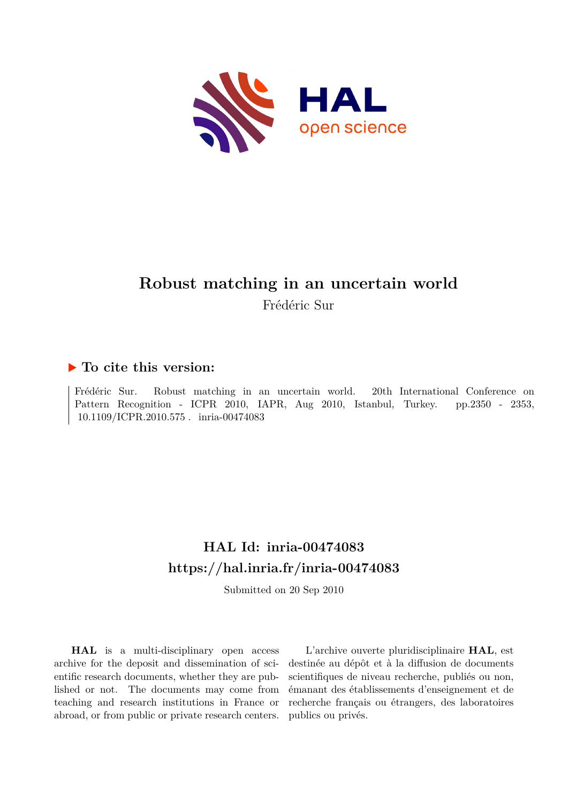

# **Robust matching in an uncertain world** Frédéric Sur

### **To cite this version:**

Frédéric Sur. Robust matching in an uncertain world. 20th International Conference on Pattern Recognition - ICPR 2010, IAPR, Aug 2010, Istanbul, Turkey. pp.2350 - 2353, 10.1109/ICPR.2010.575 miria-00474083

## **HAL Id: inria-00474083 <https://hal.inria.fr/inria-00474083>**

Submitted on 20 Sep 2010

**HAL** is a multi-disciplinary open access archive for the deposit and dissemination of scientific research documents, whether they are published or not. The documents may come from teaching and research institutions in France or abroad, or from public or private research centers.

L'archive ouverte pluridisciplinaire **HAL**, est destinée au dépôt et à la diffusion de documents scientifiques de niveau recherche, publiés ou non, émanant des établissements d'enseignement et de recherche français ou étrangers, des laboratoires publics ou privés.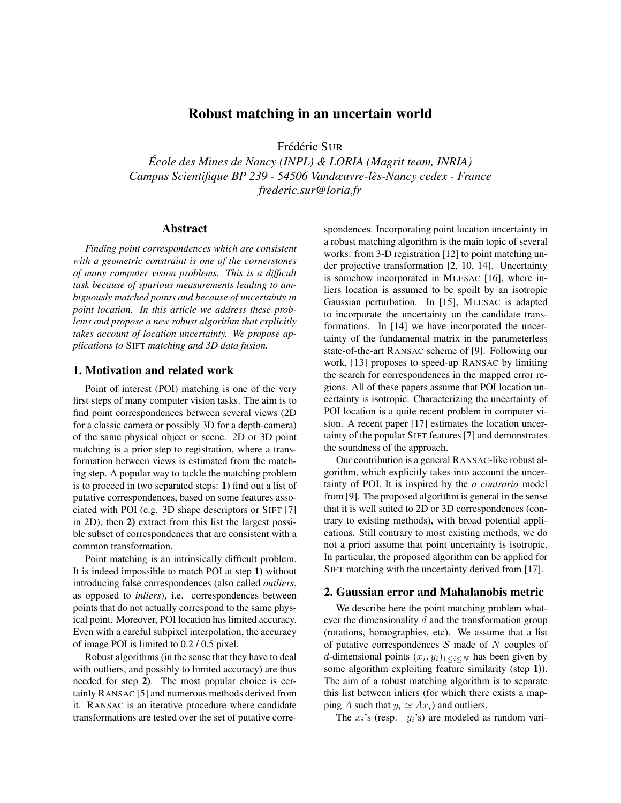### Robust matching in an uncertain world

Frédéric SUR

*Ecole des Mines de Nancy (INPL) & LORIA (Magrit team, INRIA) ´ Campus Scientifique BP 239 - 54506 Vandœuvre-les-Nancy cedex - France ` frederic.sur@loria.fr*

#### Abstract

*Finding point correspondences which are consistent with a geometric constraint is one of the cornerstones of many computer vision problems. This is a difficult task because of spurious measurements leading to ambiguously matched points and because of uncertainty in point location. In this article we address these problems and propose a new robust algorithm that explicitly takes account of location uncertainty. We propose applications to* SIFT *matching and 3D data fusion.*

#### 1. Motivation and related work

Point of interest (POI) matching is one of the very first steps of many computer vision tasks. The aim is to find point correspondences between several views (2D for a classic camera or possibly 3D for a depth-camera) of the same physical object or scene. 2D or 3D point matching is a prior step to registration, where a transformation between views is estimated from the matching step. A popular way to tackle the matching problem is to proceed in two separated steps: 1) find out a list of putative correspondences, based on some features associated with POI (e.g. 3D shape descriptors or SIFT [7] in 2D), then 2) extract from this list the largest possible subset of correspondences that are consistent with a common transformation.

Point matching is an intrinsically difficult problem. It is indeed impossible to match POI at step 1) without introducing false correspondences (also called *outliers*, as opposed to *inliers*), i.e. correspondences between points that do not actually correspond to the same physical point. Moreover, POI location has limited accuracy. Even with a careful subpixel interpolation, the accuracy of image POI is limited to 0.2 / 0.5 pixel.

Robust algorithms (in the sense that they have to deal with outliers, and possibly to limited accuracy) are thus needed for step 2). The most popular choice is certainly RANSAC [5] and numerous methods derived from it. RANSAC is an iterative procedure where candidate transformations are tested over the set of putative corre-

spondences. Incorporating point location uncertainty in a robust matching algorithm is the main topic of several works: from 3-D registration [12] to point matching under projective transformation [2, 10, 14]. Uncertainty is somehow incorporated in MLESAC [16], where inliers location is assumed to be spoilt by an isotropic Gaussian perturbation. In [15], MLESAC is adapted to incorporate the uncertainty on the candidate transformations. In [14] we have incorporated the uncertainty of the fundamental matrix in the parameterless state-of-the-art RANSAC scheme of [9]. Following our work, [13] proposes to speed-up RANSAC by limiting the search for correspondences in the mapped error regions. All of these papers assume that POI location uncertainty is isotropic. Characterizing the uncertainty of POI location is a quite recent problem in computer vision. A recent paper [17] estimates the location uncertainty of the popular SIFT features [7] and demonstrates the soundness of the approach.

Our contribution is a general RANSAC-like robust algorithm, which explicitly takes into account the uncertainty of POI. It is inspired by the *a contrario* model from [9]. The proposed algorithm is general in the sense that it is well suited to 2D or 3D correspondences (contrary to existing methods), with broad potential applications. Still contrary to most existing methods, we do not a priori assume that point uncertainty is isotropic. In particular, the proposed algorithm can be applied for SIFT matching with the uncertainty derived from [17].

#### 2. Gaussian error and Mahalanobis metric

We describe here the point matching problem whatever the dimensionality  $d$  and the transformation group (rotations, homographies, etc). We assume that a list of putative correspondences  $S$  made of N couples of *d*-dimensional points  $(x_i, y_i)_{1 \leq i \leq N}$  has been given by some algorithm exploiting feature similarity (step 1)). The aim of a robust matching algorithm is to separate this list between inliers (for which there exists a mapping A such that  $y_i \simeq Ax_i$ ) and outliers.

The  $x_i$ 's (resp.  $y_i$ 's) are modeled as random vari-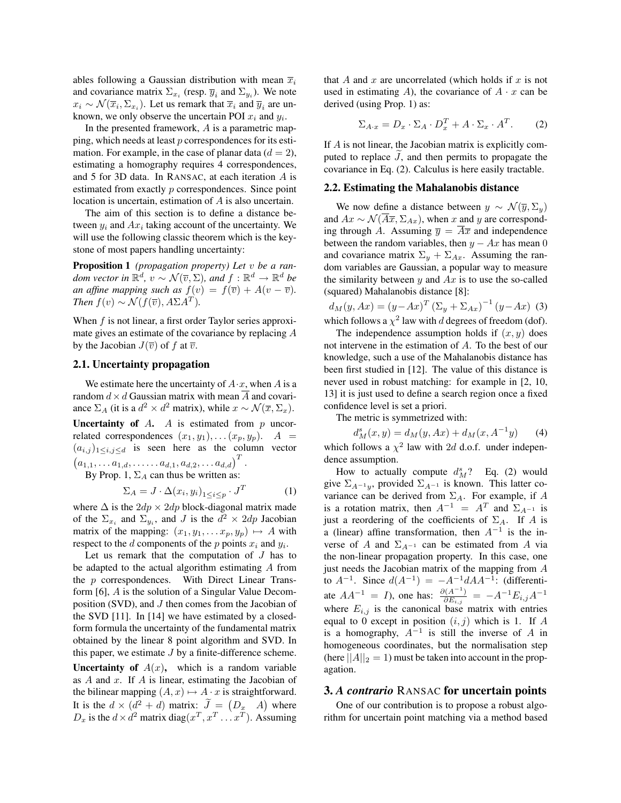ables following a Gaussian distribution with mean  $\overline{x}_i$ and covariance matrix  $\Sigma_{x_i}$  (resp.  $\overline{y}_i$  and  $\Sigma_{y_i}$ ). We note  $x_i \sim \mathcal{N}(\overline{x}_i, \Sigma_{x_i})$ . Let us remark that  $\overline{x}_i$  and  $\overline{y}_i$  are unknown, we only observe the uncertain POI  $x_i$  and  $y_i$ .

In the presented framework,  $A$  is a parametric mapping, which needs at least p correspondences for its estimation. For example, in the case of planar data  $(d = 2)$ , estimating a homography requires 4 correspondences, and 5 for 3D data. In RANSAC, at each iteration A is estimated from exactly p correspondences. Since point location is uncertain, estimation of A is also uncertain.

The aim of this section is to define a distance between  $y_i$  and  $Ax_i$  taking account of the uncertainty. We will use the following classic theorem which is the keystone of most papers handling uncertainty:

Proposition 1 *(propagation property) Let* v *be a random vector in*  $\mathbb{R}^d$ ,  $v \sim \mathcal{N}(\overline{v}, \Sigma)$ , and  $f : \mathbb{R}^d \to \mathbb{R}^d$  be *an affine mapping such as*  $f(v) = f(\overline{v}) + A(v - \overline{v})$ *. Then*  $f(v) \sim \mathcal{N}(f(\overline{v}), A\Sigma A^T)$ *.* 

When f is not linear, a first order Taylor series approximate gives an estimate of the covariance by replacing A by the Jacobian  $J(\overline{v})$  of f at  $\overline{v}$ .

#### 2.1. Uncertainty propagation

We estimate here the uncertainty of  $A \cdot x$ , when A is a random  $d \times d$  Gaussian matrix with mean  $\overline{A}$  and covariance  $\Sigma_A$  (it is a  $d^2 \times d^2$  matrix), while  $x \sim \mathcal{N}(\overline{x}, \Sigma_x)$ .

**Uncertainty of A.** A is estimated from  $p$  uncorrelated correspondences  $(x_1, y_1), \ldots (x_p, y_p)$ .  $A =$  $(a_{i,j})_{1\leq i,j\leq d}$  is seen here as the column vector  $(a_{1,1}, \ldots a_{1,d}, \ldots a_{d,1}, a_{d,2}, \ldots a_{d,d})^T$ .

By Prop. 1,  $\Sigma_A$  can thus be written as:

$$
\Sigma_A = J \cdot \Delta(x_i, y_i)_{1 \le i \le p} \cdot J^T \tag{1}
$$

where  $\Delta$  is the  $2dp \times 2dp$  block-diagonal matrix made of the  $\Sigma_{x_i}$  and  $\Sigma_{y_i}$ , and J is the  $d^2 \times 2dp$  Jacobian matrix of the mapping:  $(x_1, y_1, \ldots x_p, y_p) \mapsto A$  with respect to the d components of the p points  $x_i$  and  $y_i$ .

Let us remark that the computation of  $J$  has to be adapted to the actual algorithm estimating A from the p correspondences. With Direct Linear Transform [6], A is the solution of a Singular Value Decomposition (SVD), and  $J$  then comes from the Jacobian of the SVD [11]. In [14] we have estimated by a closedform formula the uncertainty of the fundamental matrix obtained by the linear 8 point algorithm and SVD. In this paper, we estimate  $J$  by a finite-difference scheme.

**Uncertainty of**  $A(x)$ , which is a random variable as  $A$  and  $x$ . If  $A$  is linear, estimating the Jacobian of the bilinear mapping  $(A, x) \mapsto A \cdot x$  is straightforward. It is the  $d \times (d^2 + d)$  matrix:  $\tilde{J} = (D_x A)$  where  $D_x$  is the  $d \times d^2$  matrix diag $(x^T, x^T \dots x^T)$ . Assuming

that A and x are uncorrelated (which holds if x is not used in estimating  $A$ ), the covariance of  $A \cdot x$  can be derived (using Prop. 1) as:

$$
\Sigma_{A \cdot x} = D_x \cdot \Sigma_A \cdot D_x^T + A \cdot \Sigma_x \cdot A^T. \tag{2}
$$

If A is not linear, the Jacobian matrix is explicitly computed to replace  $J$ , and then permits to propagate the covariance in Eq. (2). Calculus is here easily tractable.

#### 2.2. Estimating the Mahalanobis distance

We now define a distance between  $y \sim \mathcal{N}(\overline{y}, \Sigma_y)$ and  $Ax \sim \mathcal{N}(\overline{A}\overline{x}, \Sigma_{Ax})$ , when x and y are corresponding through A. Assuming  $\overline{y} = \overline{A} \overline{x}$  and independence between the random variables, then  $y - Ax$  has mean 0 and covariance matrix  $\Sigma_y + \Sigma_{Ax}$ . Assuming the random variables are Gaussian, a popular way to measure the similarity between  $y$  and  $Ax$  is to use the so-called (squared) Mahalanobis distance [8]:

$$
d_M(y, Ax) = (y - Ax)^T (\Sigma_y + \Sigma_{Ax})^{-1} (y - Ax)
$$
 (3)  
which follows a  $x^2$  law with *d* decrease of freedom (def)

which follows a  $\chi^2$  law with d degrees of freedom (dof). The independence assumption holds if  $(x, y)$  does

not intervene in the estimation of A. To the best of our knowledge, such a use of the Mahalanobis distance has been first studied in [12]. The value of this distance is never used in robust matching: for example in [2, 10, 13] it is just used to define a search region once a fixed confidence level is set a priori.

The metric is symmetrized with:

$$
d_M^s(x, y) = d_M(y, Ax) + d_M(x, A^{-1}y) \tag{4}
$$

which follows a  $\chi^2$  law with 2d d.o.f. under independence assumption.

How to actually compute  $d_M^s$ ? Eq. (2) would give  $\Sigma_{A^{-1}y}$ , provided  $\Sigma_{A^{-1}}$  is known. This latter covariance can be derived from  $\Sigma_A$ . For example, if A is a rotation matrix, then  $A^{-1} = A^T$  and  $\Sigma_{A^{-1}}$  is just a reordering of the coefficients of  $\Sigma_A$ . If A is a (linear) affine transformation, then  $A^{-1}$  is the inverse of A and  $\Sigma_{A^{-1}}$  can be estimated from A via the non-linear propagation property. In this case, one just needs the Jacobian matrix of the mapping from A to  $A^{-1}$ . Since  $d(A^{-1}) = -A^{-1}dAA^{-1}$ : (differentiate  $AA^{-1} = I$ , one has:  $\frac{\partial (A^{-1})}{\partial E}$  $\frac{\partial (A^{-1})}{\partial E_{i,j}} \;=\; -A^{-1} E_{i,j} A^{-1}$ where  $E_{i,j}$  is the canonical base matrix with entries equal to 0 except in position  $(i, j)$  which is 1. If A is a homography,  $A^{-1}$  is still the inverse of A in homogeneous coordinates, but the normalisation step (here  $||A||_2 = 1$ ) must be taken into account in the propagation.

#### 3. *A contrario* RANSAC for uncertain points

One of our contribution is to propose a robust algorithm for uncertain point matching via a method based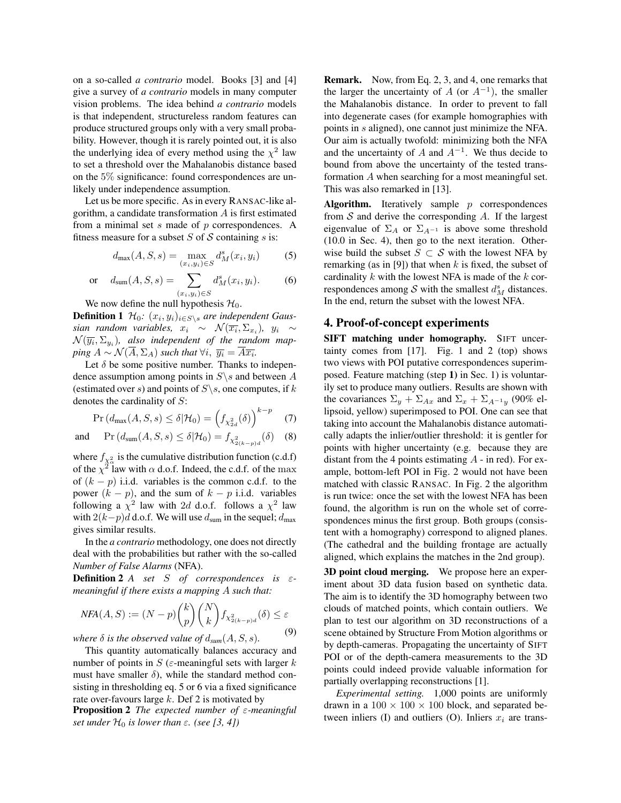on a so-called *a contrario* model. Books [3] and [4] give a survey of *a contrario* models in many computer vision problems. The idea behind *a contrario* models is that independent, structureless random features can produce structured groups only with a very small probability. However, though it is rarely pointed out, it is also the underlying idea of every method using the  $\chi^2$  law to set a threshold over the Mahalanobis distance based on the 5% significance: found correspondences are unlikely under independence assumption.

Let us be more specific. As in every RANSAC-like algorithm, a candidate transformation  $\vec{A}$  is first estimated from a minimal set  $s$  made of  $p$  correspondences. A fitness measure for a subset  $S$  of  $S$  containing  $s$  is:

$$
d_{\max}(A, S, s) = \max_{(x_i, y_i) \in S} d_M^s(x_i, y_i)
$$
 (5)

or 
$$
d_{\text{sum}}(A, S, s) = \sum_{(x_i, y_i) \in S} d_M^s(x_i, y_i).
$$
 (6)

We now define the null hypothesis  $\mathcal{H}_0$ .

**Definition 1**  $\mathcal{H}_0$ :  $(x_i, y_i)_{i \in S \setminus s}$  are independent Gaus*sian random variables,*  $x_i \sim \mathcal{N}(\overline{x_i}, \Sigma_{x_i})$ ,  $y_i \sim$  $\mathcal{N}(\overline{y_i}, \Sigma_{y_i}),$  also independent of the random map- $\mathit{ping} \ A \sim \mathcal{N}(\overline{A}, \Sigma_A) \ \mathit{such that} \ \forall i, \ \overline{y_i} = \overline{A} \overline{x_i}.$ 

Let  $\delta$  be some positive number. Thanks to independence assumption among points in  $S \$  and between A (estimated over s) and points of  $S \setminus s$ , one computes, if k denotes the cardinality of  $S$ :

$$
\Pr\left(d_{\max}(A, S, s) \le \delta | \mathcal{H}_0\right) = \left(f_{\chi^2_{2d}}(\delta)\right)^{k-p} \quad (7)
$$

and 
$$
\Pr(d_{\text{sum}}(A, S, s) \le \delta | \mathcal{H}_0) = f_{\chi^2_{2(k-p)d}}(\delta)
$$
 (8)

where  $f_{\chi^2_{\alpha}}$  is the cumulative distribution function (c.d.f) of the  $\chi^2$  law with  $\alpha$  d.o.f. Indeed, the c.d.f. of the max of  $(k - p)$  i.i.d. variables is the common c.d.f. to the power  $(k - p)$ , and the sum of  $k - p$  i.i.d. variables following a  $\chi^2$  law with 2d d.o.f. follows a  $\chi^2$  law with  $2(k-p)d$  d.o.f. We will use  $d_{sum}$  in the sequel;  $d_{max}$ gives similar results.

In the *a contrario* methodology, one does not directly deal with the probabilities but rather with the so-called *Number of False Alarms* (NFA).

**Definition 2** *A* set *S* of correspondences is  $\varepsilon$ *meaningful if there exists a mapping* A *such that:*

$$
NFA(A, S) := (N - p) \binom{k}{p} \binom{N}{k} f_{X_{2(k-p)d}^2}(\delta) \le \varepsilon
$$

*where*  $\delta$  *is the observed value of*  $d_{sum}(A, S, s)$ . (9)

This quantity automatically balances accuracy and number of points in  $S$  ( $\varepsilon$ -meaningful sets with larger  $k$ must have smaller  $\delta$ ), while the standard method consisting in thresholding eq. 5 or 6 via a fixed significance rate over-favours large  $k$ . Def 2 is motivated by

Proposition 2 *The expected number of* ε*-meaningful set under*  $H_0$  *is lower than*  $\varepsilon$ *. (see [3, 4])* 

Remark. Now, from Eq. 2, 3, and 4, one remarks that the larger the uncertainty of A (or  $A^{-1}$ ), the smaller the Mahalanobis distance. In order to prevent to fall into degenerate cases (for example homographies with points in s aligned), one cannot just minimize the NFA. Our aim is actually twofold: minimizing both the NFA and the uncertainty of A and  $A^{-1}$ . We thus decide to bound from above the uncertainty of the tested transformation A when searching for a most meaningful set. This was also remarked in [13].

**Algorithm.** Iteratively sample  $p$  correspondences from  $S$  and derive the corresponding  $A$ . If the largest eigenvalue of  $\Sigma_A$  or  $\Sigma_{A^{-1}}$  is above some threshold (10.0 in Sec. 4), then go to the next iteration. Otherwise build the subset  $S \subset S$  with the lowest NFA by remarking (as in [9]) that when k is fixed, the subset of cardinality  $k$  with the lowest NFA is made of the  $k$  correspondences among  $S$  with the smallest  $d_M^s$  distances. In the end, return the subset with the lowest NFA.

#### 4. Proof-of-concept experiments

SIFT matching under homography. SIFT uncertainty comes from [17]. Fig. 1 and 2 (top) shows two views with POI putative correspondences superimposed. Feature matching (step 1) in Sec. 1) is voluntarily set to produce many outliers. Results are shown with the covariances  $\Sigma_y + \Sigma_{Ax}$  and  $\Sigma_x + \Sigma_{A^{-1}y}$  (90% ellipsoid, yellow) superimposed to POI. One can see that taking into account the Mahalanobis distance automatically adapts the inlier/outlier threshold: it is gentler for points with higher uncertainty (e.g. because they are distant from the 4 points estimating  $A$  - in red). For example, bottom-left POI in Fig. 2 would not have been matched with classic RANSAC. In Fig. 2 the algorithm is run twice: once the set with the lowest NFA has been found, the algorithm is run on the whole set of correspondences minus the first group. Both groups (consistent with a homography) correspond to aligned planes. (The cathedral and the building frontage are actually aligned, which explains the matches in the 2nd group).

3D point cloud merging. We propose here an experiment about 3D data fusion based on synthetic data. The aim is to identify the 3D homography between two clouds of matched points, which contain outliers. We plan to test our algorithm on 3D reconstructions of a scene obtained by Structure From Motion algorithms or by depth-cameras. Propagating the uncertainty of SIFT POI or of the depth-camera measurements to the 3D points could indeed provide valuable information for partially overlapping reconstructions [1].

*Experimental setting.* 1,000 points are uniformly drawn in a  $100 \times 100 \times 100$  block, and separated between inliers (I) and outliers (O). Inliers  $x_i$  are trans-